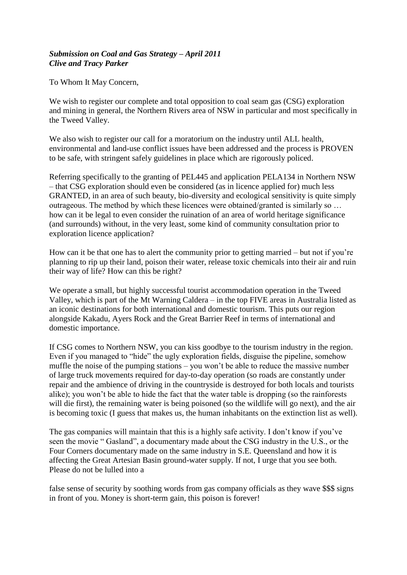## *Submission on Coal and Gas Strategy – April 2011 Clive and Tracy Parker*

To Whom It May Concern,

We wish to register our complete and total opposition to coal seam gas (CSG) exploration and mining in general, the Northern Rivers area of NSW in particular and most specifically in the Tweed Valley.

We also wish to register our call for a moratorium on the industry until ALL health, environmental and land-use conflict issues have been addressed and the process is PROVEN to be safe, with stringent safely guidelines in place which are rigorously policed.

Referring specifically to the granting of PEL445 and application PELA134 in Northern NSW – that CSG exploration should even be considered (as in licence applied for) much less GRANTED, in an area of such beauty, bio-diversity and ecological sensitivity is quite simply outrageous. The method by which these licences were obtained/granted is similarly so … how can it be legal to even consider the ruination of an area of world heritage significance (and surrounds) without, in the very least, some kind of community consultation prior to exploration licence application?

How can it be that one has to alert the community prior to getting married – but not if you're planning to rip up their land, poison their water, release toxic chemicals into their air and ruin their way of life? How can this be right?

We operate a small, but highly successful tourist accommodation operation in the Tweed Valley, which is part of the Mt Warning Caldera – in the top FIVE areas in Australia listed as an iconic destinations for both international and domestic tourism. This puts our region alongside Kakadu, Ayers Rock and the Great Barrier Reef in terms of international and domestic importance.

If CSG comes to Northern NSW, you can kiss goodbye to the tourism industry in the region. Even if you managed to "hide" the ugly exploration fields, disguise the pipeline, somehow muffle the noise of the pumping stations – you won't be able to reduce the massive number of large truck movements required for day-to-day operation (so roads are constantly under repair and the ambience of driving in the countryside is destroyed for both locals and tourists alike); you won't be able to hide the fact that the water table is dropping (so the rainforests will die first), the remaining water is being poisoned (so the wildlife will go next), and the air is becoming toxic (I guess that makes us, the human inhabitants on the extinction list as well).

The gas companies will maintain that this is a highly safe activity. I don't know if you've seen the movie " Gasland", a documentary made about the CSG industry in the U.S., or the Four Corners documentary made on the same industry in S.E. Queensland and how it is affecting the Great Artesian Basin ground-water supply. If not, I urge that you see both. Please do not be lulled into a

false sense of security by soothing words from gas company officials as they wave \$\$\$ signs in front of you. Money is short-term gain, this poison is forever!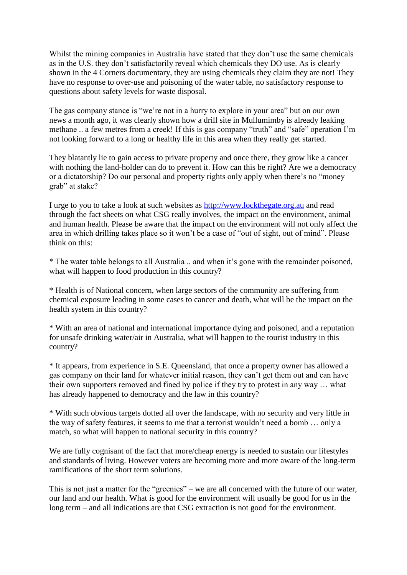Whilst the mining companies in Australia have stated that they don't use the same chemicals as in the U.S. they don't satisfactorily reveal which chemicals they DO use. As is clearly shown in the 4 Corners documentary, they are using chemicals they claim they are not! They have no response to over-use and poisoning of the water table, no satisfactory response to questions about safety levels for waste disposal.

The gas company stance is "we're not in a hurry to explore in your area" but on our own news a month ago, it was clearly shown how a drill site in Mullumimby is already leaking methane .. a few metres from a creek! If this is gas company "truth" and "safe" operation I'm not looking forward to a long or healthy life in this area when they really get started.

They blatantly lie to gain access to private property and once there, they grow like a cancer with nothing the land-holder can do to prevent it. How can this be right? Are we a democracy or a dictatorship? Do our personal and property rights only apply when there's no "money grab" at stake?

I urge to you to take a look at such websites as [http://www.lockthegate.org.au](http://www.lockthegate.org.au/) and read through the fact sheets on what CSG really involves, the impact on the environment, animal and human health. Please be aware that the impact on the environment will not only affect the area in which drilling takes place so it won't be a case of "out of sight, out of mind". Please think on this:

\* The water table belongs to all Australia .. and when it's gone with the remainder poisoned, what will happen to food production in this country?

\* Health is of National concern, when large sectors of the community are suffering from chemical exposure leading in some cases to cancer and death, what will be the impact on the health system in this country?

\* With an area of national and international importance dying and poisoned, and a reputation for unsafe drinking water/air in Australia, what will happen to the tourist industry in this country?

\* It appears, from experience in S.E. Queensland, that once a property owner has allowed a gas company on their land for whatever initial reason, they can't get them out and can have their own supporters removed and fined by police if they try to protest in any way … what has already happened to democracy and the law in this country?

\* With such obvious targets dotted all over the landscape, with no security and very little in the way of safety features, it seems to me that a terrorist wouldn't need a bomb … only a match, so what will happen to national security in this country?

We are fully cognisant of the fact that more/cheap energy is needed to sustain our lifestyles and standards of living. However voters are becoming more and more aware of the long-term ramifications of the short term solutions.

This is not just a matter for the "greenies" – we are all concerned with the future of our water, our land and our health. What is good for the environment will usually be good for us in the long term – and all indications are that CSG extraction is not good for the environment.